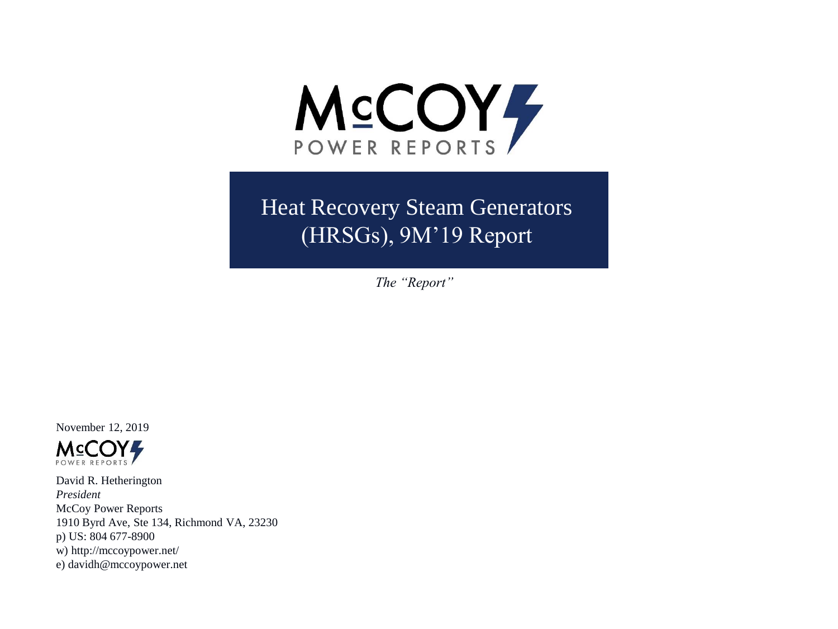

Heat Recovery Steam Generators (HRSGs), 9M'19 Report

*The "Report"*

November 12, 2019



David R. Hetherington *President* McCoy Power Reports 1910 Byrd Ave, Ste 134, Richmond VA, 23230 p) US: 804 677-8900 w) http://mccoypower.net/ e) davidh@mccoypower.net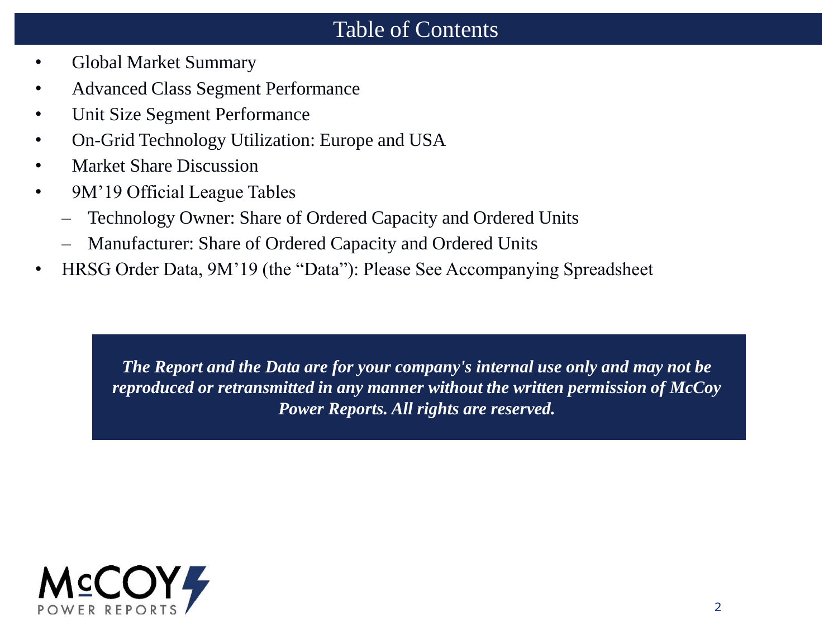## Table of Contents

- Global Market Summary
- Advanced Class Segment Performance
- Unit Size Segment Performance
- On-Grid Technology Utilization: Europe and USA
- Market Share Discussion
- 9M'19 Official League Tables
	- Technology Owner: Share of Ordered Capacity and Ordered Units
	- Manufacturer: Share of Ordered Capacity and Ordered Units
- HRSG Order Data, 9M'19 (the "Data"): Please See Accompanying Spreadsheet

*The Report and the Data are for your company's internal use only and may not be reproduced or retransmitted in any manner without the written permission of McCoy Power Reports. All rights are reserved.*

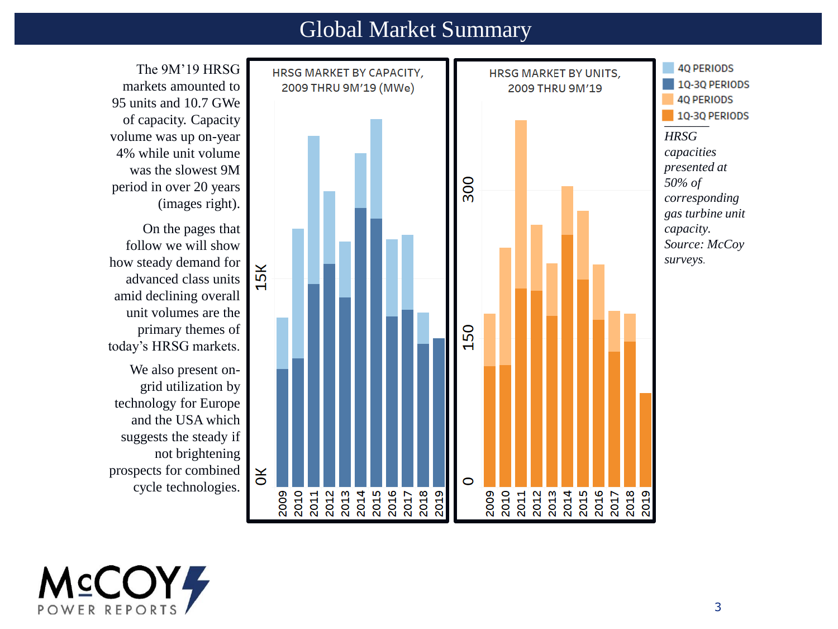### Global Market Summary



The 9M'19 HRSG markets amounted to 95 units and 10.7 GWe of capacity. Capacity volume was up on-year 4% while unit volume was the slowest 9M period in over 20 years (images right).

On the pages that follow we will show how steady demand for advanced class units amid declining overall unit volumes are the primary themes of today's HRSG markets.

We also present ongrid utilization by technology for Europe and the USA which suggests the steady if not brightening prospects for combined cycle technologies.

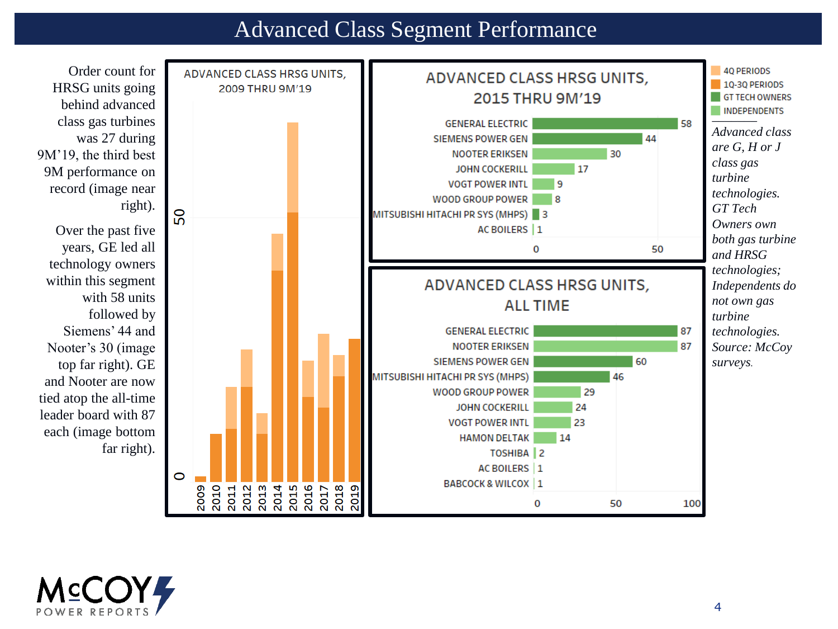### Advanced Class Segment Performance



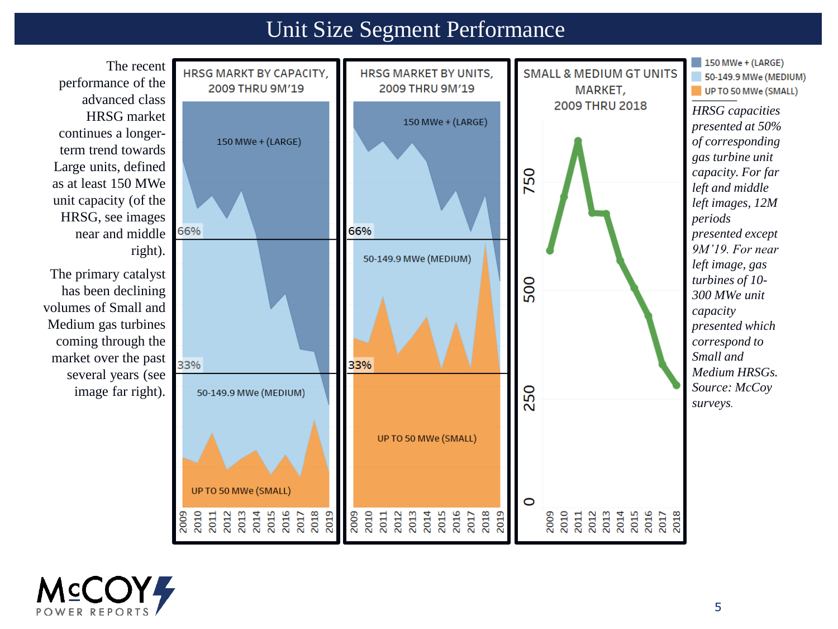## Unit Size Segment Performance



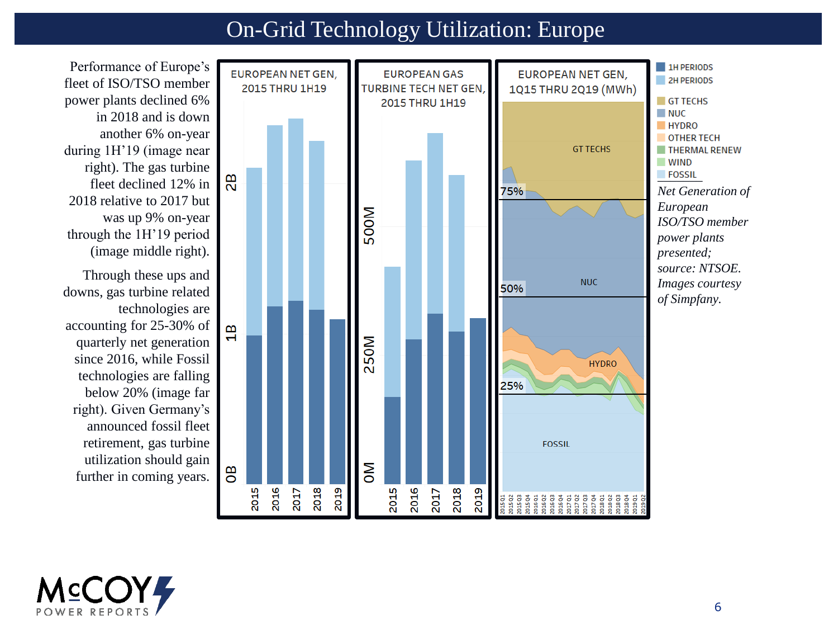# On-Grid Technology Utilization: Europe

Performance of Europe's fleet of ISO/TSO member power plants declined 6% in 2018 and is down another 6% on-year during 1H'19 (image near right). The gas turbine fleet declined 12% in 2018 relative to 2017 but was up 9% on-year through the 1H'19 period (image middle right).

Through these ups and downs, gas turbine related technologies are accounting for 25-30% of quarterly net generation since 2016, while Fossil technologies are falling below 20% (image far right). Given Germany's announced fossil fleet retirement, gas turbine utilization should gain further in coming years.



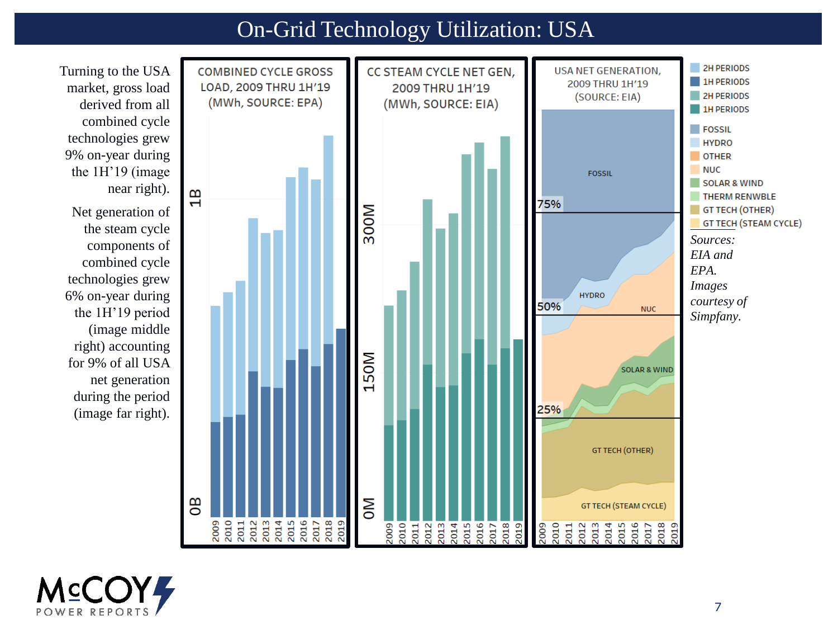# On-Grid Technology Utilization: USA



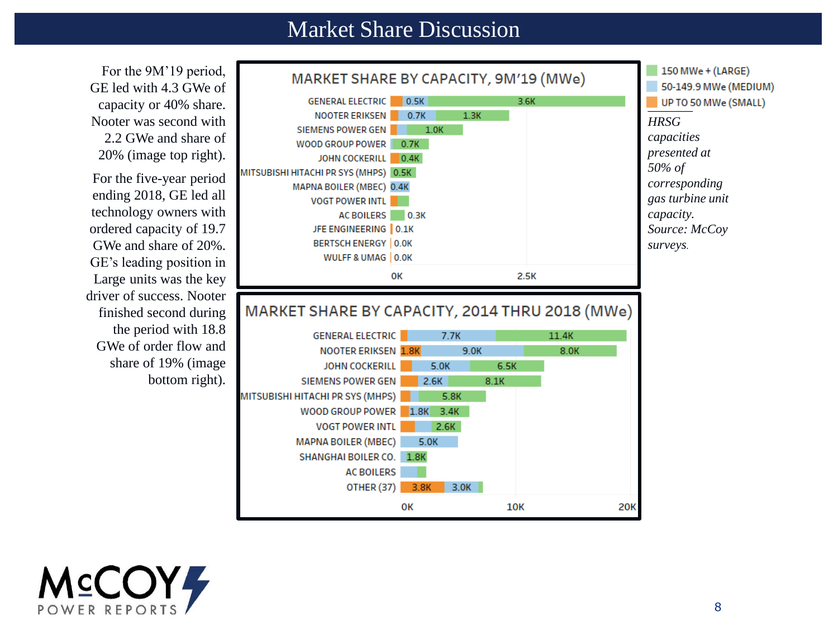#### Market Share Discussion



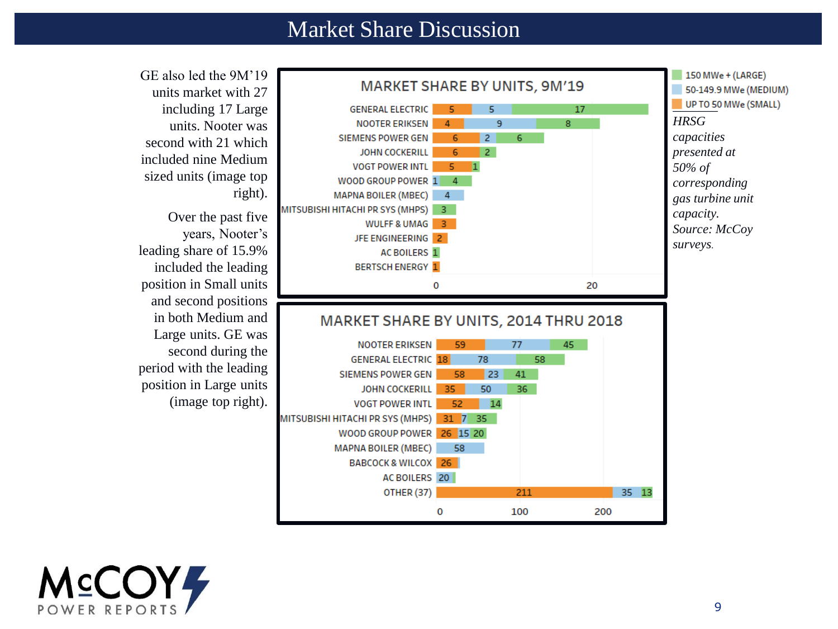#### Market Share Discussion





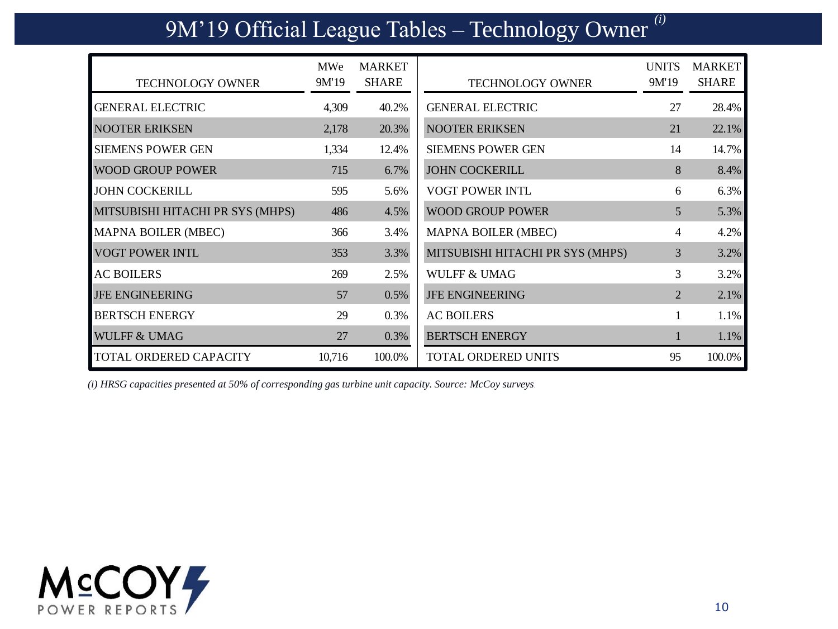# 9M'19 Official League Tables – Technology Owner *(i)*

| <b>TECHNOLOGY OWNER</b>          | MWe<br>9M'19 | <b>MARKET</b><br><b>SHARE</b> | <b>TECHNOLOGY OWNER</b>          | <b>UNITS</b><br>9M'19 | <b>MARKET</b><br><b>SHARE</b> |
|----------------------------------|--------------|-------------------------------|----------------------------------|-----------------------|-------------------------------|
| <b>GENERAL ELECTRIC</b>          | 4,309        | 40.2%                         | <b>GENERAL ELECTRIC</b>          | 27                    | 28.4%                         |
| <b>NOOTER ERIKSEN</b>            | 2,178        | 20.3%                         | <b>NOOTER ERIKSEN</b>            | 21                    | 22.1%                         |
| <b>SIEMENS POWER GEN</b>         | 1,334        | 12.4%                         | <b>SIEMENS POWER GEN</b>         | 14                    | 14.7%                         |
| <b>WOOD GROUP POWER</b>          | 715          | 6.7%                          | <b>JOHN COCKERILL</b>            | 8                     | 8.4%                          |
| <b>JOHN COCKERILL</b>            | 595          | 5.6%                          | VOGT POWER INTL                  | 6                     | 6.3%                          |
| MITSUBISHI HITACHI PR SYS (MHPS) | 486          | 4.5%                          | <b>WOOD GROUP POWER</b>          | 5                     | 5.3%                          |
| MAPNA BOILER (MBEC)              | 366          | 3.4%                          | <b>MAPNA BOILER (MBEC)</b>       | 4                     | 4.2%                          |
| <b>VOGT POWER INTL</b>           | 353          | 3.3%                          | MITSUBISHI HITACHI PR SYS (MHPS) | 3                     | 3.2%                          |
| <b>AC BOILERS</b>                | 269          | 2.5%                          | <b>WULFF &amp; UMAG</b>          | 3                     | 3.2%                          |
| <b>JFE ENGINEERING</b>           | 57           | 0.5%                          | <b>JFE ENGINEERING</b>           | $\overline{c}$        | 2.1%                          |
| <b>BERTSCH ENERGY</b>            | 29           | 0.3%                          | <b>AC BOILERS</b>                |                       | 1.1%                          |
| <b>WULFF &amp; UMAG</b>          | 27           | 0.3%                          | <b>BERTSCH ENERGY</b>            |                       | 1.1%                          |
| <b>TOTAL ORDERED CAPACITY</b>    | 10,716       | 100.0%                        | TOTAL ORDERED UNITS              | 95                    | 100.0%                        |

*(i) HRSG capacities presented at 50% of corresponding gas turbine unit capacity. Source: McCoy surveys.*